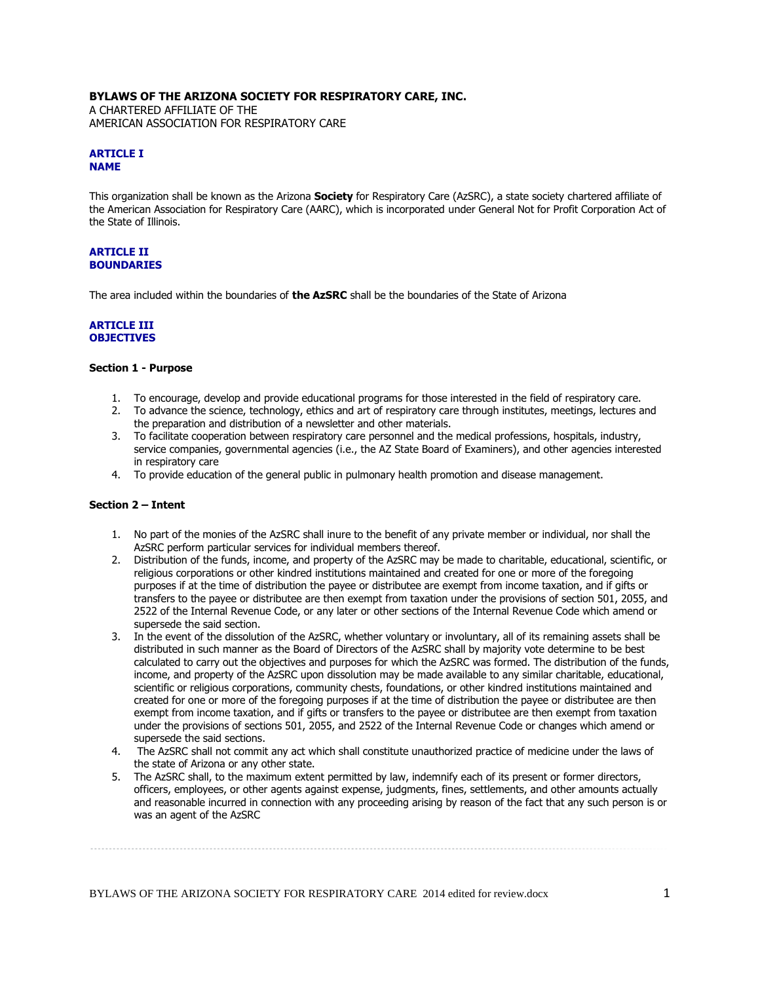## **BYLAWS OF THE ARIZONA SOCIETY FOR RESPIRATORY CARE, INC.**

A CHARTERED AFFILIATE OF THE AMERICAN ASSOCIATION FOR RESPIRATORY CARE

## **ARTICLE I NAME**

This organization shall be known as the Arizona **Society** for Respiratory Care (AzSRC), a state society chartered affiliate of the American Association for Respiratory Care (AARC), which is incorporated under General Not for Profit Corporation Act of the State of Illinois.

#### **ARTICLE II BOUNDARIES**

The area included within the boundaries of **the AzSRC** shall be the boundaries of the State of Arizona

#### **ARTICLE III OBJECTIVES**

# **Section 1 - Purpose**

- 1. To encourage, develop and provide educational programs for those interested in the field of respiratory care.
- 2. To advance the science, technology, ethics and art of respiratory care through institutes, meetings, lectures and the preparation and distribution of a newsletter and other materials.
- 3. To facilitate cooperation between respiratory care personnel and the medical professions, hospitals, industry, service companies, governmental agencies (i.e., the AZ State Board of Examiners), and other agencies interested in respiratory care
- 4. To provide education of the general public in pulmonary health promotion and disease management.

#### **Section 2 – Intent**

- 1. No part of the monies of the AzSRC shall inure to the benefit of any private member or individual, nor shall the AzSRC perform particular services for individual members thereof.
- 2. Distribution of the funds, income, and property of the AzSRC may be made to charitable, educational, scientific, or religious corporations or other kindred institutions maintained and created for one or more of the foregoing purposes if at the time of distribution the payee or distributee are exempt from income taxation, and if gifts or transfers to the payee or distributee are then exempt from taxation under the provisions of section 501, 2055, and 2522 of the Internal Revenue Code, or any later or other sections of the Internal Revenue Code which amend or supersede the said section.
- 3. In the event of the dissolution of the AzSRC, whether voluntary or involuntary, all of its remaining assets shall be distributed in such manner as the Board of Directors of the AzSRC shall by majority vote determine to be best calculated to carry out the objectives and purposes for which the AzSRC was formed. The distribution of the funds, income, and property of the AzSRC upon dissolution may be made available to any similar charitable, educational, scientific or religious corporations, community chests, foundations, or other kindred institutions maintained and created for one or more of the foregoing purposes if at the time of distribution the payee or distributee are then exempt from income taxation, and if gifts or transfers to the payee or distributee are then exempt from taxation under the provisions of sections 501, 2055, and 2522 of the Internal Revenue Code or changes which amend or supersede the said sections.
- 4. The AzSRC shall not commit any act which shall constitute unauthorized practice of medicine under the laws of the state of Arizona or any other state.
- 5. The AzSRC shall, to the maximum extent permitted by law, indemnify each of its present or former directors, officers, employees, or other agents against expense, judgments, fines, settlements, and other amounts actually and reasonable incurred in connection with any proceeding arising by reason of the fact that any such person is or was an agent of the AzSRC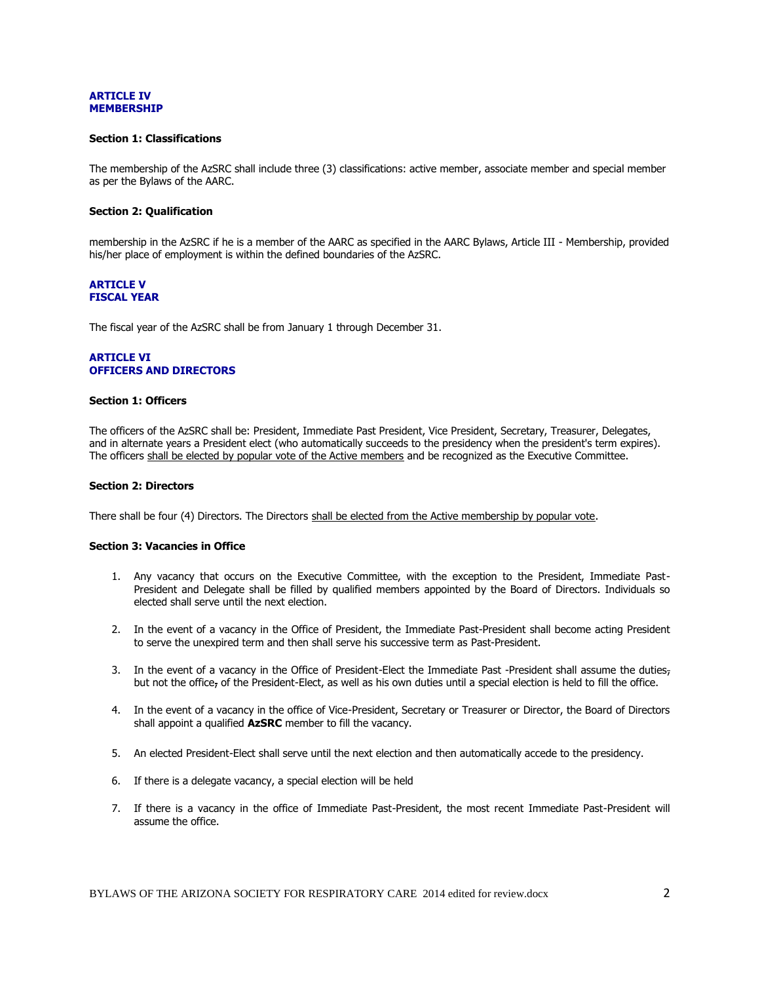#### **ARTICLE IV MEMBERSHIP**

#### **Section 1: Classifications**

The membership of the AzSRC shall include three (3) classifications: active member, associate member and special member as per the Bylaws of the AARC.

### **Section 2: Qualification**

membership in the AzSRC if he is a member of the AARC as specified in the AARC Bylaws, Article III - Membership, provided his/her place of employment is within the defined boundaries of the AzSRC.

## **ARTICLE V FISCAL YEAR**

The fiscal year of the AzSRC shall be from January 1 through December 31.

## **ARTICLE VI OFFICERS AND DIRECTORS**

## **Section 1: Officers**

The officers of the AzSRC shall be: President, Immediate Past President, Vice President, Secretary, Treasurer, Delegates, and in alternate years a President elect (who automatically succeeds to the presidency when the president's term expires). The officers shall be elected by popular vote of the Active members and be recognized as the Executive Committee.

#### **Section 2: Directors**

There shall be four (4) Directors. The Directors shall be elected from the Active membership by popular vote.

#### **Section 3: Vacancies in Office**

- 1. Any vacancy that occurs on the Executive Committee, with the exception to the President, Immediate Past-President and Delegate shall be filled by qualified members appointed by the Board of Directors. Individuals so elected shall serve until the next election.
- 2. In the event of a vacancy in the Office of President, the Immediate Past-President shall become acting President to serve the unexpired term and then shall serve his successive term as Past-President.
- 3. In the event of a vacancy in the Office of President-Elect the Immediate Past -President shall assume the duties<sub>7</sub> but not the office, of the President-Elect, as well as his own duties until a special election is held to fill the office.
- 4. In the event of a vacancy in the office of Vice-President, Secretary or Treasurer or Director, the Board of Directors shall appoint a qualified **AzSRC** member to fill the vacancy.
- 5. An elected President-Elect shall serve until the next election and then automatically accede to the presidency.
- 6. If there is a delegate vacancy, a special election will be held
- 7. If there is a vacancy in the office of Immediate Past-President, the most recent Immediate Past-President will assume the office.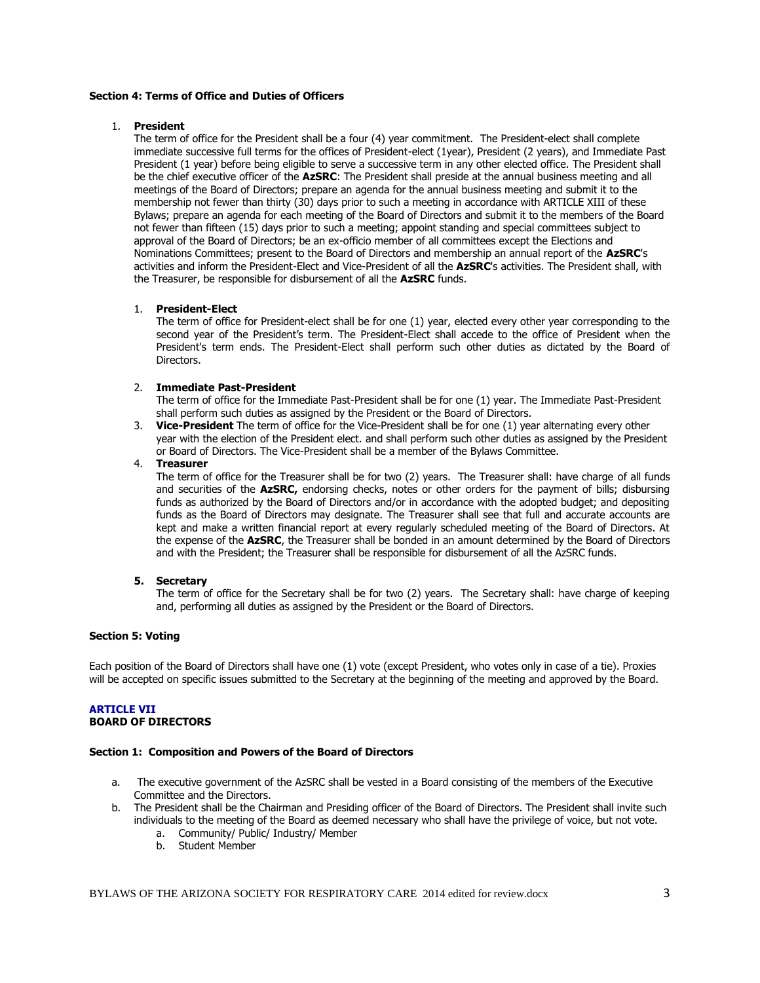## **Section 4: Terms of Office and Duties of Officers**

### 1. **President**

The term of office for the President shall be a four (4) year commitment. The President-elect shall complete immediate successive full terms for the offices of President-elect (1year), President (2 years), and Immediate Past President (1 year) before being eligible to serve a successive term in any other elected office. The President shall be the chief executive officer of the **AzSRC**: The President shall preside at the annual business meeting and all meetings of the Board of Directors; prepare an agenda for the annual business meeting and submit it to the membership not fewer than thirty (30) days prior to such a meeting in accordance with ARTICLE XIII of these Bylaws; prepare an agenda for each meeting of the Board of Directors and submit it to the members of the Board not fewer than fifteen (15) days prior to such a meeting; appoint standing and special committees subject to approval of the Board of Directors; be an ex-officio member of all committees except the Elections and Nominations Committees; present to the Board of Directors and membership an annual report of the **AzSRC**'s activities and inform the President-Elect and Vice-President of all the **AzSRC**'s activities. The President shall, with the Treasurer, be responsible for disbursement of all the **AzSRC** funds.

## 1. **President-Elect**

The term of office for President-elect shall be for one (1) year, elected every other year corresponding to the second year of the President's term. The President-Elect shall accede to the office of President when the President's term ends. The President-Elect shall perform such other duties as dictated by the Board of Directors.

## 2. **Immediate Past-President**

The term of office for the Immediate Past-President shall be for one (1) year. The Immediate Past-President shall perform such duties as assigned by the President or the Board of Directors.

3. **Vice-President** The term of office for the Vice-President shall be for one (1) year alternating every other year with the election of the President elect. and shall perform such other duties as assigned by the President or Board of Directors. The Vice-President shall be a member of the Bylaws Committee.

## 4. **Treasurer**

The term of office for the Treasurer shall be for two (2) years. The Treasurer shall: have charge of all funds and securities of the **AzSRC,** endorsing checks, notes or other orders for the payment of bills; disbursing funds as authorized by the Board of Directors and/or in accordance with the adopted budget; and depositing funds as the Board of Directors may designate. The Treasurer shall see that full and accurate accounts are kept and make a written financial report at every regularly scheduled meeting of the Board of Directors. At the expense of the **AzSRC**, the Treasurer shall be bonded in an amount determined by the Board of Directors and with the President; the Treasurer shall be responsible for disbursement of all the AzSRC funds.

#### **5. Secretary**

The term of office for the Secretary shall be for two (2) years. The Secretary shall: have charge of keeping and, performing all duties as assigned by the President or the Board of Directors.

#### **Section 5: Voting**

Each position of the Board of Directors shall have one (1) vote (except President, who votes only in case of a tie). Proxies will be accepted on specific issues submitted to the Secretary at the beginning of the meeting and approved by the Board.

## **ARTICLE VII BOARD OF DIRECTORS**

#### **Section 1: Composition and Powers of the Board of Directors**

- a. The executive government of the AzSRC shall be vested in a Board consisting of the members of the Executive Committee and the Directors.
- b. The President shall be the Chairman and Presiding officer of the Board of Directors. The President shall invite such individuals to the meeting of the Board as deemed necessary who shall have the privilege of voice, but not vote.
	- a. Community/ Public/ Industry/ Member
	- b. Student Member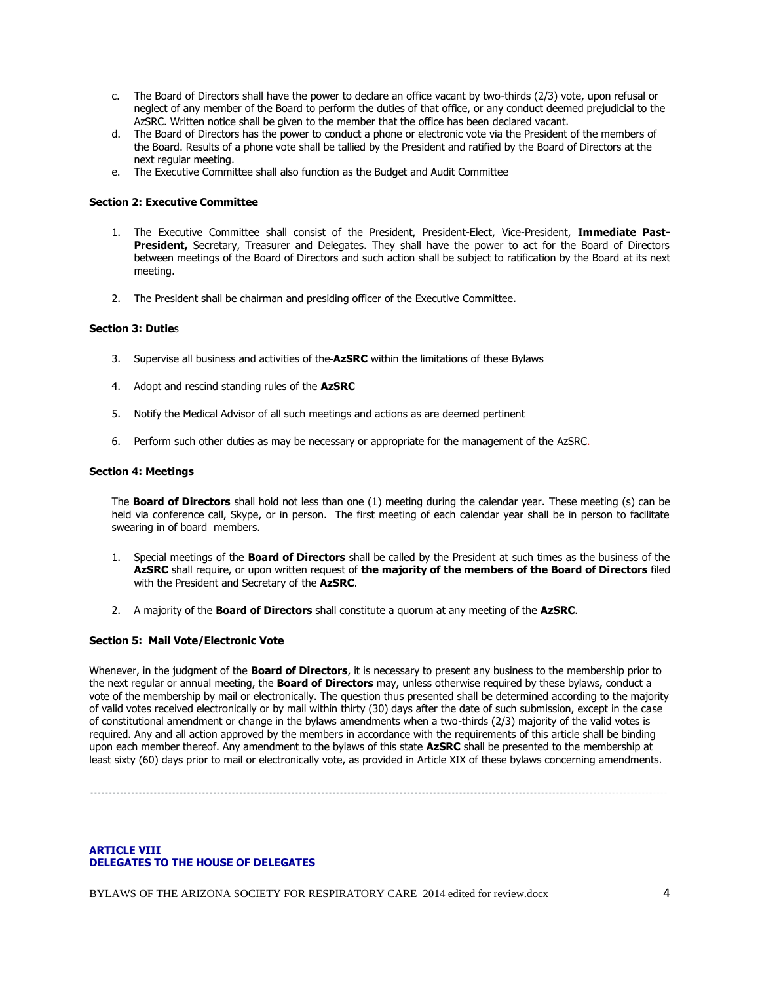- c. The Board of Directors shall have the power to declare an office vacant by two-thirds (2/3) vote, upon refusal or neglect of any member of the Board to perform the duties of that office, or any conduct deemed prejudicial to the AzSRC. Written notice shall be given to the member that the office has been declared vacant.
- d. The Board of Directors has the power to conduct a phone or electronic vote via the President of the members of the Board. Results of a phone vote shall be tallied by the President and ratified by the Board of Directors at the next regular meeting.
- e. The Executive Committee shall also function as the Budget and Audit Committee

## **Section 2: Executive Committee**

- 1. The Executive Committee shall consist of the President, President-Elect, Vice-President, **Immediate Past-**President, Secretary, Treasurer and Delegates. They shall have the power to act for the Board of Directors between meetings of the Board of Directors and such action shall be subject to ratification by the Board at its next meeting.
- 2. The President shall be chairman and presiding officer of the Executive Committee.

## **Section 3: Dutie**s

- 3. Supervise all business and activities of the **AzSRC** within the limitations of these Bylaws
- 4. Adopt and rescind standing rules of the **AzSRC**
- 5. Notify the Medical Advisor of all such meetings and actions as are deemed pertinent
- 6. Perform such other duties as may be necessary or appropriate for the management of the AzSRC.

#### **Section 4: Meetings**

The **Board of Directors** shall hold not less than one (1) meeting during the calendar year. These meeting (s) can be held via conference call, Skype, or in person. The first meeting of each calendar year shall be in person to facilitate swearing in of board members.

- 1. Special meetings of the **Board of Directors** shall be called by the President at such times as the business of the **AzSRC** shall require, or upon written request of **the majority of the members of the Board of Directors** filed with the President and Secretary of the **AzSRC**.
- 2. A majority of the **Board of Directors** shall constitute a quorum at any meeting of the **AzSRC**.

#### **Section 5: Mail Vote/Electronic Vote**

Whenever, in the judgment of the **Board of Directors**, it is necessary to present any business to the membership prior to the next regular or annual meeting, the **Board of Directors** may, unless otherwise required by these bylaws, conduct a vote of the membership by mail or electronically. The question thus presented shall be determined according to the majority of valid votes received electronically or by mail within thirty (30) days after the date of such submission, except in the case of constitutional amendment or change in the bylaws amendments when a two-thirds (2/3) majority of the valid votes is required. Any and all action approved by the members in accordance with the requirements of this article shall be binding upon each member thereof. Any amendment to the bylaws of this state **AzSRC** shall be presented to the membership at least sixty (60) days prior to mail or electronically vote, as provided in Article XIX of these bylaws concerning amendments.

## **ARTICLE VIII DELEGATES TO THE HOUSE OF DELEGATES**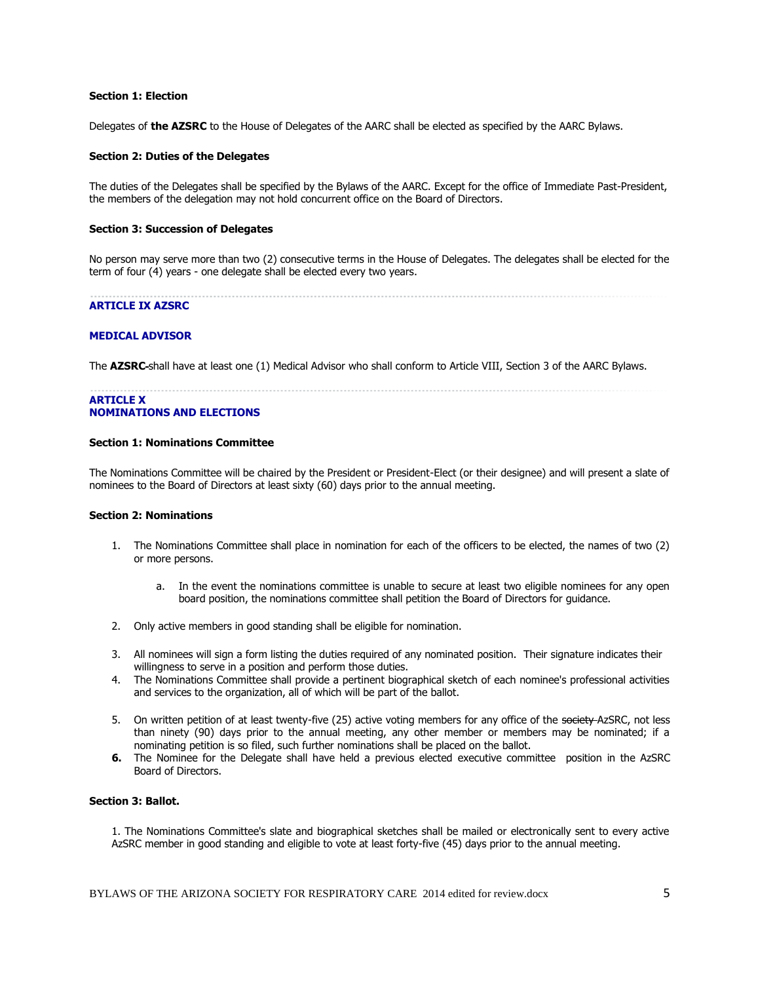### **Section 1: Election**

Delegates of **the AZSRC** to the House of Delegates of the AARC shall be elected as specified by the AARC Bylaws.

### **Section 2: Duties of the Delegates**

The duties of the Delegates shall be specified by the Bylaws of the AARC. Except for the office of Immediate Past-President, the members of the delegation may not hold concurrent office on the Board of Directors.

#### **Section 3: Succession of Delegates**

No person may serve more than two (2) consecutive terms in the House of Delegates. The delegates shall be elected for the term of four (4) years - one delegate shall be elected every two years.

## **ARTICLE IX AZSRC**

## **MEDICAL ADVISOR**

The **AZSRC** shall have at least one (1) Medical Advisor who shall conform to Article VIII, Section 3 of the AARC Bylaws.

## **ARTICLE X NOMINATIONS AND ELECTIONS**

#### **Section 1: Nominations Committee**

The Nominations Committee will be chaired by the President or President-Elect (or their designee) and will present a slate of nominees to the Board of Directors at least sixty (60) days prior to the annual meeting.

#### **Section 2: Nominations**

- 1. The Nominations Committee shall place in nomination for each of the officers to be elected, the names of two (2) or more persons.
	- a. In the event the nominations committee is unable to secure at least two eligible nominees for any open board position, the nominations committee shall petition the Board of Directors for guidance.
- 2. Only active members in good standing shall be eligible for nomination.
- 3. All nominees will sign a form listing the duties required of any nominated position. Their signature indicates their willingness to serve in a position and perform those duties.
- 4. The Nominations Committee shall provide a pertinent biographical sketch of each nominee's professional activities and services to the organization, all of which will be part of the ballot.
- 5. On written petition of at least twenty-five (25) active voting members for any office of the society AzSRC, not less than ninety (90) days prior to the annual meeting, any other member or members may be nominated; if a nominating petition is so filed, such further nominations shall be placed on the ballot.
- **6.** The Nominee for the Delegate shall have held a previous elected executive committee position in the AzSRC Board of Directors.

## **Section 3: Ballot.**

1. The Nominations Committee's slate and biographical sketches shall be mailed or electronically sent to every active AzSRC member in good standing and eligible to vote at least forty-five (45) days prior to the annual meeting.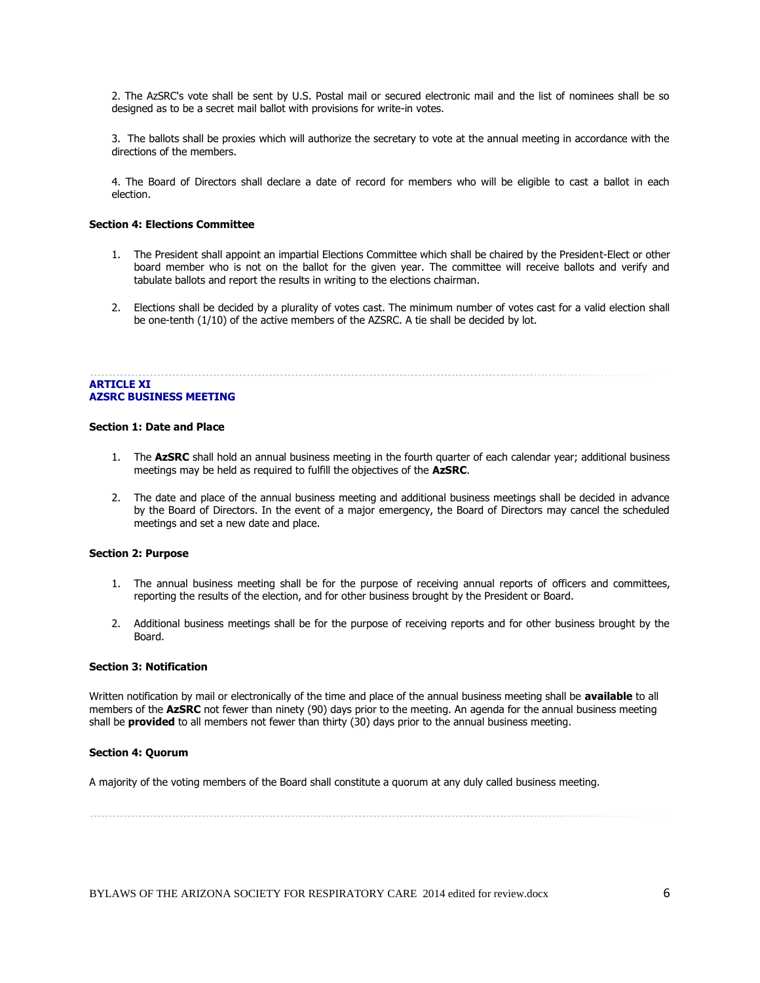2. The AzSRC's vote shall be sent by U.S. Postal mail or secured electronic mail and the list of nominees shall be so designed as to be a secret mail ballot with provisions for write-in votes.

3. The ballots shall be proxies which will authorize the secretary to vote at the annual meeting in accordance with the directions of the members.

4. The Board of Directors shall declare a date of record for members who will be eligible to cast a ballot in each election.

## **Section 4: Elections Committee**

- 1. The President shall appoint an impartial Elections Committee which shall be chaired by the President-Elect or other board member who is not on the ballot for the given year. The committee will receive ballots and verify and tabulate ballots and report the results in writing to the elections chairman.
- 2. Elections shall be decided by a plurality of votes cast. The minimum number of votes cast for a valid election shall be one-tenth (1/10) of the active members of the AZSRC. A tie shall be decided by lot.

## **ARTICLE XI AZSRC BUSINESS MEETING**

#### **Section 1: Date and Place**

- 1. The **AzSRC** shall hold an annual business meeting in the fourth quarter of each calendar year; additional business meetings may be held as required to fulfill the objectives of the **AzSRC**.
- 2. The date and place of the annual business meeting and additional business meetings shall be decided in advance by the Board of Directors. In the event of a major emergency, the Board of Directors may cancel the scheduled meetings and set a new date and place.

## **Section 2: Purpose**

- 1. The annual business meeting shall be for the purpose of receiving annual reports of officers and committees, reporting the results of the election, and for other business brought by the President or Board.
- 2. Additional business meetings shall be for the purpose of receiving reports and for other business brought by the Board.

#### **Section 3: Notification**

Written notification by mail or electronically of the time and place of the annual business meeting shall be **available** to all members of the **AzSRC** not fewer than ninety (90) days prior to the meeting. An agenda for the annual business meeting shall be **provided** to all members not fewer than thirty (30) days prior to the annual business meeting.

### **Section 4: Quorum**

A majority of the voting members of the Board shall constitute a quorum at any duly called business meeting.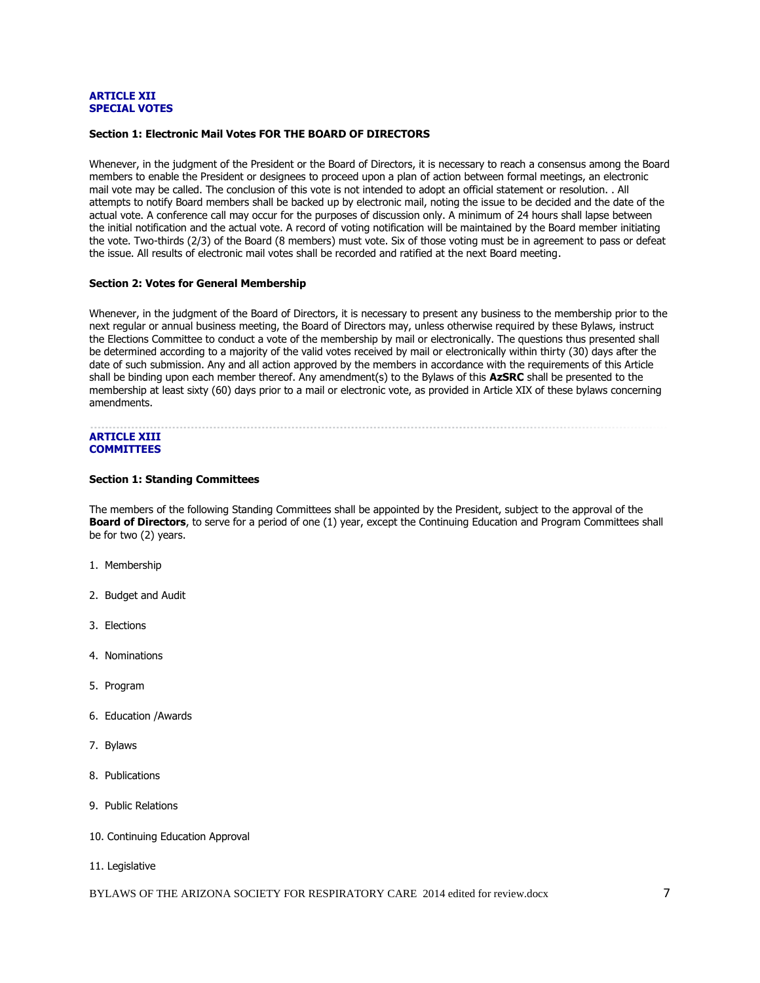### **ARTICLE XII SPECIAL VOTES**

## **Section 1: Electronic Mail Votes FOR THE BOARD OF DIRECTORS**

Whenever, in the judgment of the President or the Board of Directors, it is necessary to reach a consensus among the Board members to enable the President or designees to proceed upon a plan of action between formal meetings, an electronic mail vote may be called. The conclusion of this vote is not intended to adopt an official statement or resolution. . All attempts to notify Board members shall be backed up by electronic mail, noting the issue to be decided and the date of the actual vote. A conference call may occur for the purposes of discussion only. A minimum of 24 hours shall lapse between the initial notification and the actual vote. A record of voting notification will be maintained by the Board member initiating the vote. Two-thirds (2/3) of the Board (8 members) must vote. Six of those voting must be in agreement to pass or defeat the issue. All results of electronic mail votes shall be recorded and ratified at the next Board meeting.

## **Section 2: Votes for General Membership**

Whenever, in the judgment of the Board of Directors, it is necessary to present any business to the membership prior to the next regular or annual business meeting, the Board of Directors may, unless otherwise required by these Bylaws, instruct the Elections Committee to conduct a vote of the membership by mail or electronically. The questions thus presented shall be determined according to a majority of the valid votes received by mail or electronically within thirty (30) days after the date of such submission. Any and all action approved by the members in accordance with the requirements of this Article shall be binding upon each member thereof. Any amendment(s) to the Bylaws of this **AzSRC** shall be presented to the membership at least sixty (60) days prior to a mail or electronic vote, as provided in Article XIX of these bylaws concerning amendments.

## **ARTICLE XIII COMMITTEES**

#### **Section 1: Standing Committees**

The members of the following Standing Committees shall be appointed by the President, subject to the approval of the **Board of Directors**, to serve for a period of one (1) year, except the Continuing Education and Program Committees shall be for two (2) years.

- 1. Membership
- 2. Budget and Audit
- 3. Elections
- 4. Nominations
- 5. Program
- 6. Education /Awards
- 7. Bylaws
- 8. Publications
- 9. Public Relations
- 10. Continuing Education Approval
- 11. Legislative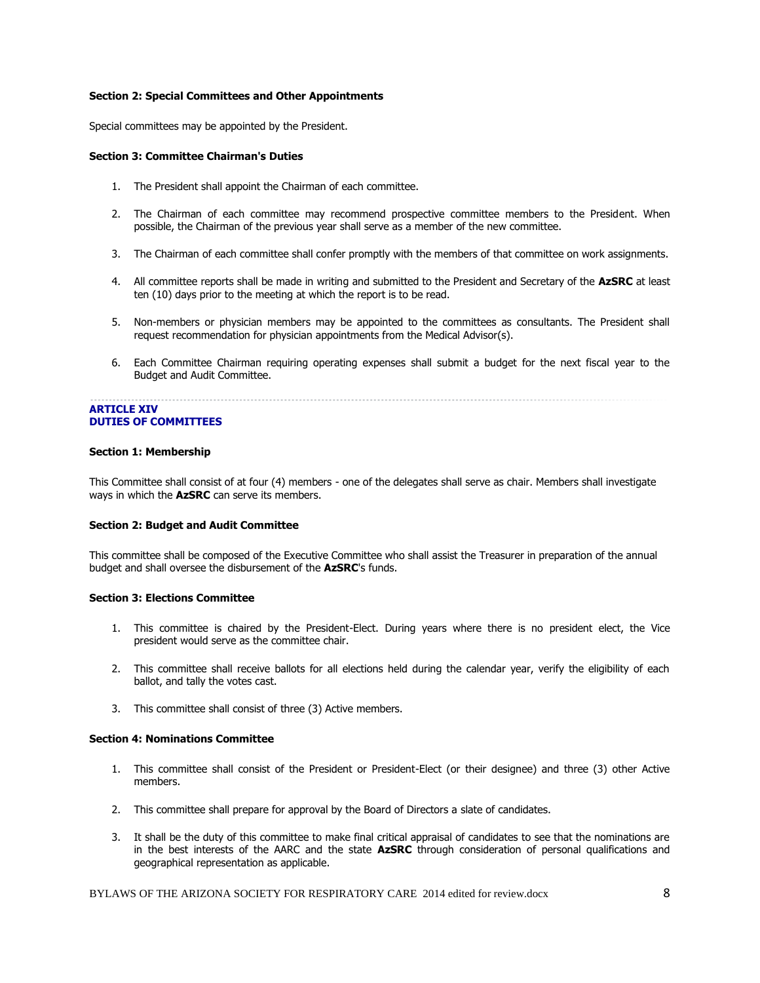## **Section 2: Special Committees and Other Appointments**

Special committees may be appointed by the President.

### **Section 3: Committee Chairman's Duties**

- 1. The President shall appoint the Chairman of each committee.
- 2. The Chairman of each committee may recommend prospective committee members to the President. When possible, the Chairman of the previous year shall serve as a member of the new committee.
- 3. The Chairman of each committee shall confer promptly with the members of that committee on work assignments.
- 4. All committee reports shall be made in writing and submitted to the President and Secretary of the **AzSRC** at least ten (10) days prior to the meeting at which the report is to be read.
- 5. Non-members or physician members may be appointed to the committees as consultants. The President shall request recommendation for physician appointments from the Medical Advisor(s).
- 6. Each Committee Chairman requiring operating expenses shall submit a budget for the next fiscal year to the Budget and Audit Committee.

#### **ARTICLE XIV DUTIES OF COMMITTEES**

#### **Section 1: Membership**

This Committee shall consist of at four (4) members - one of the delegates shall serve as chair. Members shall investigate ways in which the **AzSRC** can serve its members.

## **Section 2: Budget and Audit Committee**

This committee shall be composed of the Executive Committee who shall assist the Treasurer in preparation of the annual budget and shall oversee the disbursement of the **AzSRC**'s funds.

#### **Section 3: Elections Committee**

- 1. This committee is chaired by the President-Elect. During years where there is no president elect, the Vice president would serve as the committee chair.
- 2. This committee shall receive ballots for all elections held during the calendar year, verify the eligibility of each ballot, and tally the votes cast.
- 3. This committee shall consist of three (3) Active members.

## **Section 4: Nominations Committee**

- 1. This committee shall consist of the President or President-Elect (or their designee) and three (3) other Active members.
- 2. This committee shall prepare for approval by the Board of Directors a slate of candidates.
- 3. It shall be the duty of this committee to make final critical appraisal of candidates to see that the nominations are in the best interests of the AARC and the state **AzSRC** through consideration of personal qualifications and geographical representation as applicable.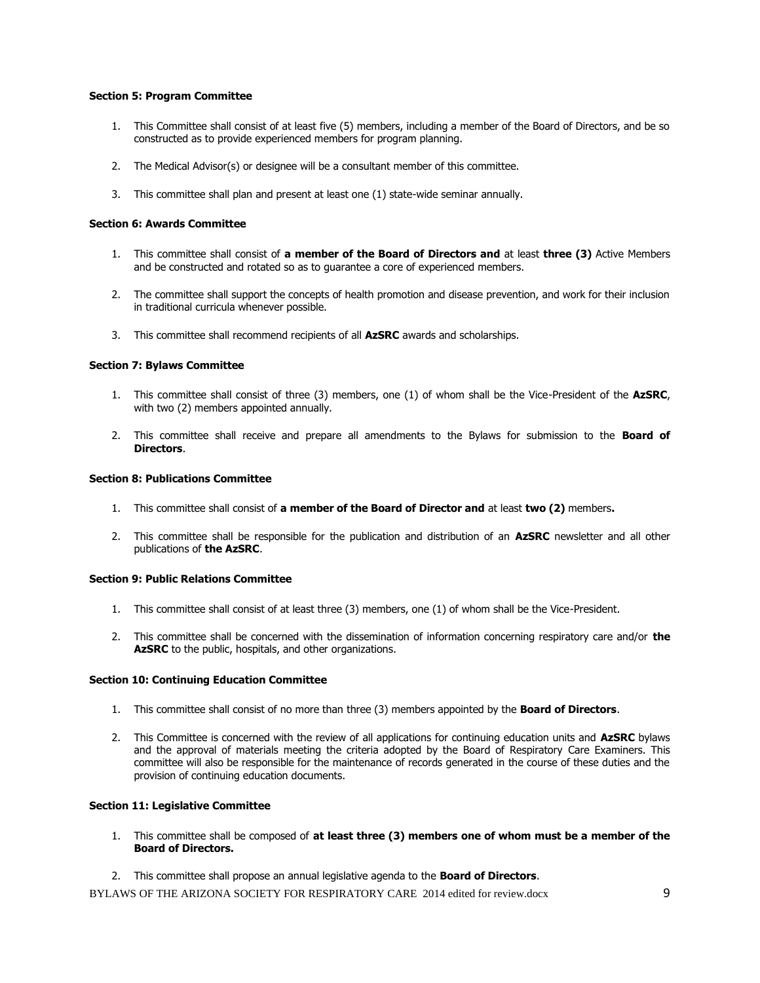## **Section 5: Program Committee**

- 1. This Committee shall consist of at least five (5) members, including a member of the Board of Directors, and be so constructed as to provide experienced members for program planning.
- 2. The Medical Advisor(s) or designee will be a consultant member of this committee.
- 3. This committee shall plan and present at least one (1) state-wide seminar annually.

## **Section 6: Awards Committee**

- 1. This committee shall consist of **a member of the Board of Directors and** at least **three (3)** Active Members and be constructed and rotated so as to guarantee a core of experienced members.
- 2. The committee shall support the concepts of health promotion and disease prevention, and work for their inclusion in traditional curricula whenever possible.
- 3. This committee shall recommend recipients of all **AzSRC** awards and scholarships.

## **Section 7: Bylaws Committee**

- 1. This committee shall consist of three (3) members, one (1) of whom shall be the Vice-President of the **AzSRC**, with two (2) members appointed annually.
- 2. This committee shall receive and prepare all amendments to the Bylaws for submission to the **Board of Directors**.

## **Section 8: Publications Committee**

- 1. This committee shall consist of **a member of the Board of Director and** at least **two (2)** members**.**
- 2. This committee shall be responsible for the publication and distribution of an **AzSRC** newsletter and all other publications of **the AzSRC**.

## **Section 9: Public Relations Committee**

- 1. This committee shall consist of at least three (3) members, one (1) of whom shall be the Vice-President.
- 2. This committee shall be concerned with the dissemination of information concerning respiratory care and/or **the AzSRC** to the public, hospitals, and other organizations.

## **Section 10: Continuing Education Committee**

- 1. This committee shall consist of no more than three (3) members appointed by the **Board of Directors**.
- 2. This Committee is concerned with the review of all applications for continuing education units and **AzSRC** bylaws and the approval of materials meeting the criteria adopted by the Board of Respiratory Care Examiners. This committee will also be responsible for the maintenance of records generated in the course of these duties and the provision of continuing education documents.

## **Section 11: Legislative Committee**

- 1. This committee shall be composed of **at least three (3) members one of whom must be a member of the Board of Directors.**
- 2. This committee shall propose an annual legislative agenda to the **Board of Directors**.